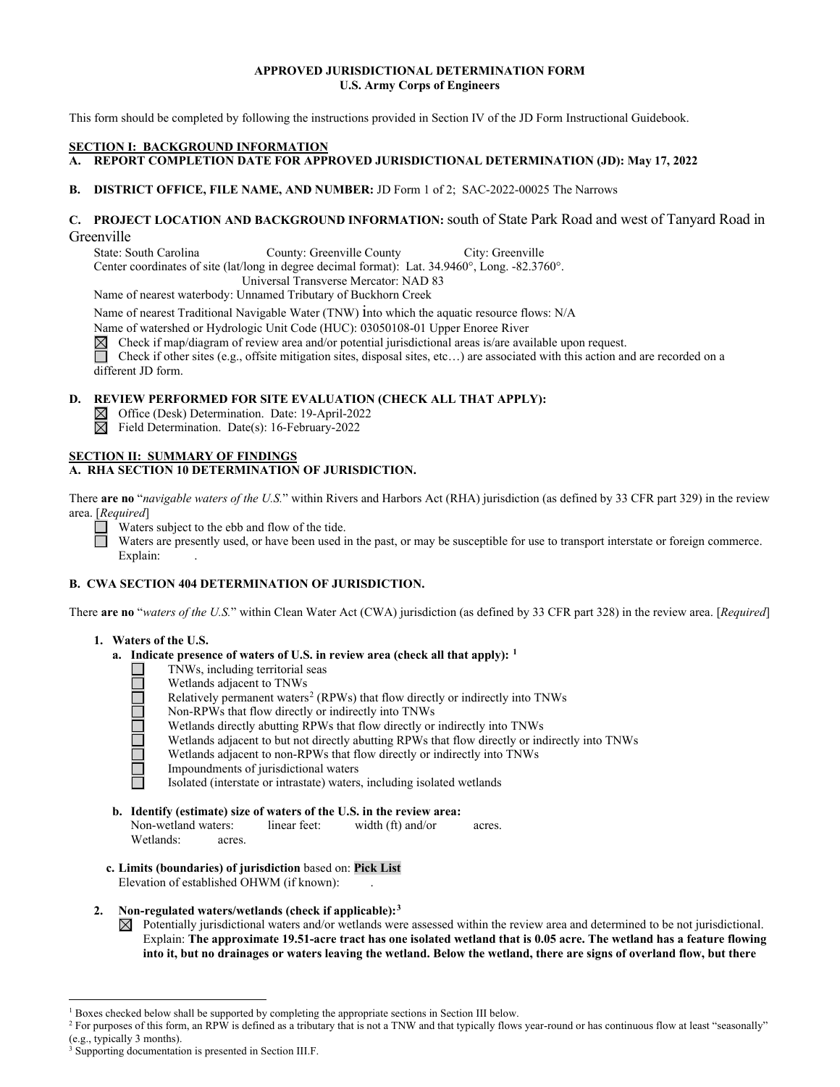# **APPROVED JURISDICTIONAL DETERMINATION FORM U.S. Army Corps of Engineers**

This form should be completed by following the instructions provided in Section IV of the JD Form Instructional Guidebook.

### **SECTION I: BACKGROUND INFORMATION**

**A. REPORT COMPLETION DATE FOR APPROVED JURISDICTIONAL DETERMINATION (JD): May 17, 2022** 

### **B. DISTRICT OFFICE, FILE NAME, AND NUMBER:** JD Form 1 of 2; SAC-2022-00025 The Narrows

# **C. PROJECT LOCATION AND BACKGROUND INFORMATION:** south of State Park Road and west of Tanyard Road in Greenville<br>State: South Carolina

County: Greenville County City: Greenville

Center coordinates of site (lat/long in degree decimal format): Lat. 34.9460°, Long. -82.3760°.

Universal Transverse Mercator: NAD 83

Name of nearest waterbody: Unnamed Tributary of Buckhorn Creek

Name of nearest Traditional Navigable Water (TNW) into which the aquatic resource flows: N/A

Name of watershed or Hydrologic Unit Code (HUC): 03050108-01 Upper Enoree River  $\boxtimes$  Check if map/diagram of review area and/or potential jurisdictional areas is/are ava<br>Check if other sites (e.g., offsite mitigation sit Check if map/diagram of review area and/or potential jurisdictional areas is/are available upon request.

Check if other sites (e.g., offsite mitigation sites, disposal sites, etc…) are associated with this action and are recorded on a different JD form.

# **D. REVIEW PERFORMED FOR SITE EVALUATION (CHECK ALL THAT APPLY):**

Office (Desk) Determination. Date: 19-April-2022

Field Determination. Date(s): 16-February-2022

### **SECTION II: SUMMARY OF FINDINGS A. RHA SECTION 10 DETERMINATION OF JURISDICTION.**

There **are no** "*navigable waters of the U.S.*" within Rivers and Harbors Act (RHA) jurisdiction (as defined by 33 CFR part 329) in the review area. [*Required*]

Waters subject to the ebb and flow of the tide. П

 $\Box$ Waters are presently used, or have been used in the past, or may be susceptible for use to transport interstate or foreign commerce. Explain:

# **B. CWA SECTION 404 DETERMINATION OF JURISDICTION.**

There **are no** "*waters of the U.S.*" within Clean Water Act (CWA) jurisdiction (as defined by 33 CFR part 328) in the review area. [*Required*]

# **1. Waters of the U.S.**

- **a. Indicate presence of waters of U.S. in review area (check all that apply): [1](#page-0-0)**
	- TNWs, including territorial seas
	- Wetlands adjacent to TNWs
	- Relatively permanent waters<sup>[2](#page-0-1)</sup> (RPWs) that flow directly or indirectly into TNWs
	- Non-RPWs that flow directly or indirectly into TNWs
	- Wetlands directly abutting RPWs that flow directly or indirectly into TNWs
	- Wetlands adjacent to but not directly abutting RPWs that flow directly or indirectly into TNWs
	- Wetlands adjacent to non-RPWs that flow directly or indirectly into TNWs
	- Impoundments of jurisdictional waters
		- Isolated (interstate or intrastate) waters, including isolated wetlands
- **b. Identify (estimate) size of waters of the U.S. in the review area:** Non-wetland waters: linear feet: width (ft) and/or acres. Wetlands: acres.
- **c. Limits (boundaries) of jurisdiction** based on: **Pick List** Elevation of established OHWM (if known):

### **2. Non-regulated waters/wetlands (check if applicable):[3](#page-0-2)**

Potentially jurisdictional waters and/or wetlands were assessed within the review area and determined to be not jurisdictional. Explain: **The approximate 19.51-acre tract has one isolated wetland that is 0.05 acre. The wetland has a feature flowing into it, but no drainages or waters leaving the wetland. Below the wetland, there are signs of overland flow, but there** 

<span id="page-0-0"></span><sup>&</sup>lt;sup>1</sup> Boxes checked below shall be supported by completing the appropriate sections in Section III below.

<span id="page-0-1"></span><sup>&</sup>lt;sup>2</sup> For purposes of this form, an RPW is defined as a tributary that is not a TNW and that typically flows year-round or has continuous flow at least "seasonally" (e.g., typically 3 months).

<span id="page-0-2"></span><sup>3</sup> Supporting documentation is presented in Section III.F.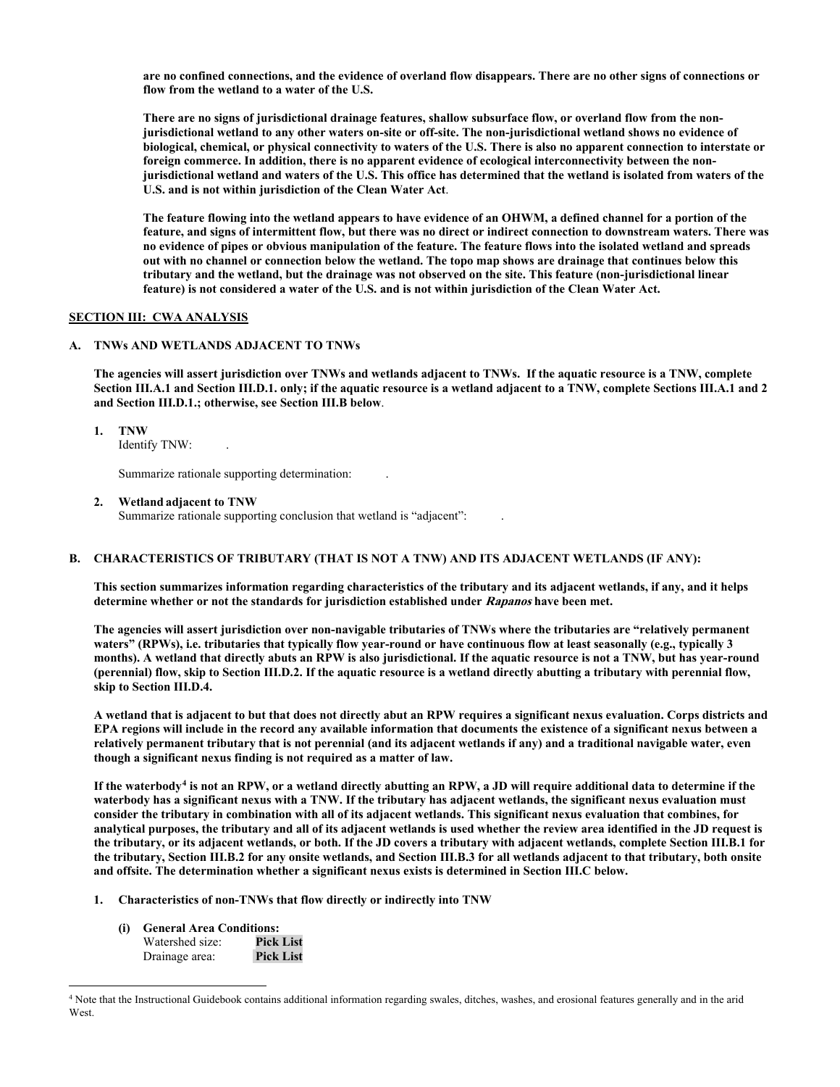**are no confined connections, and the evidence of overland flow disappears. There are no other signs of connections or flow from the wetland to a water of the U.S.**

**There are no signs of jurisdictional drainage features, shallow subsurface flow, or overland flow from the nonjurisdictional wetland to any other waters on-site or off-site. The non-jurisdictional wetland shows no evidence of biological, chemical, or physical connectivity to waters of the U.S. There is also no apparent connection to interstate or foreign commerce. In addition, there is no apparent evidence of ecological interconnectivity between the nonjurisdictional wetland and waters of the U.S. This office has determined that the wetland is isolated from waters of the U.S. and is not within jurisdiction of the Clean Water Act**.

**The feature flowing into the wetland appears to have evidence of an OHWM, a defined channel for a portion of the feature, and signs of intermittent flow, but there was no direct or indirect connection to downstream waters. There was no evidence of pipes or obvious manipulation of the feature. The feature flows into the isolated wetland and spreads out with no channel or connection below the wetland. The topo map shows are drainage that continues below this tributary and the wetland, but the drainage was not observed on the site. This feature (non-jurisdictional linear feature) is not considered a water of the U.S. and is not within jurisdiction of the Clean Water Act.**

### **SECTION III: CWA ANALYSIS**

### **A. TNWs AND WETLANDS ADJACENT TO TNWs**

**The agencies will assert jurisdiction over TNWs and wetlands adjacent to TNWs. If the aquatic resource is a TNW, complete Section III.A.1 and Section III.D.1. only; if the aquatic resource is a wetland adjacent to a TNW, complete Sections III.A.1 and 2 and Section III.D.1.; otherwise, see Section III.B below**.

### **1. TNW**

Identify TNW: .

Summarize rationale supporting determination: .

**2. Wetland adjacent to TNW** 

Summarize rationale supporting conclusion that wetland is "adjacent": .

# **B. CHARACTERISTICS OF TRIBUTARY (THAT IS NOT A TNW) AND ITS ADJACENT WETLANDS (IF ANY):**

**This section summarizes information regarding characteristics of the tributary and its adjacent wetlands, if any, and it helps determine whether or not the standards for jurisdiction established under Rapanos have been met.** 

**The agencies will assert jurisdiction over non-navigable tributaries of TNWs where the tributaries are "relatively permanent waters" (RPWs), i.e. tributaries that typically flow year-round or have continuous flow at least seasonally (e.g., typically 3 months). A wetland that directly abuts an RPW is also jurisdictional. If the aquatic resource is not a TNW, but has year-round (perennial) flow, skip to Section III.D.2. If the aquatic resource is a wetland directly abutting a tributary with perennial flow, skip to Section III.D.4.**

**A wetland that is adjacent to but that does not directly abut an RPW requires a significant nexus evaluation. Corps districts and EPA regions will include in the record any available information that documents the existence of a significant nexus between a relatively permanent tributary that is not perennial (and its adjacent wetlands if any) and a traditional navigable water, even though a significant nexus finding is not required as a matter of law.**

**If the waterbody[4](#page-1-0) is not an RPW, or a wetland directly abutting an RPW, a JD will require additional data to determine if the waterbody has a significant nexus with a TNW. If the tributary has adjacent wetlands, the significant nexus evaluation must consider the tributary in combination with all of its adjacent wetlands. This significant nexus evaluation that combines, for analytical purposes, the tributary and all of its adjacent wetlands is used whether the review area identified in the JD request is the tributary, or its adjacent wetlands, or both. If the JD covers a tributary with adjacent wetlands, complete Section III.B.1 for the tributary, Section III.B.2 for any onsite wetlands, and Section III.B.3 for all wetlands adjacent to that tributary, both onsite and offsite. The determination whether a significant nexus exists is determined in Section III.C below.**

- **1. Characteristics of non-TNWs that flow directly or indirectly into TNW**
	- **(i) General Area Conditions:**

| Watershed size: | <b>Pick List</b> |
|-----------------|------------------|
| Drainage area:  | <b>Pick List</b> |

<span id="page-1-0"></span><sup>4</sup> Note that the Instructional Guidebook contains additional information regarding swales, ditches, washes, and erosional features generally and in the arid **West**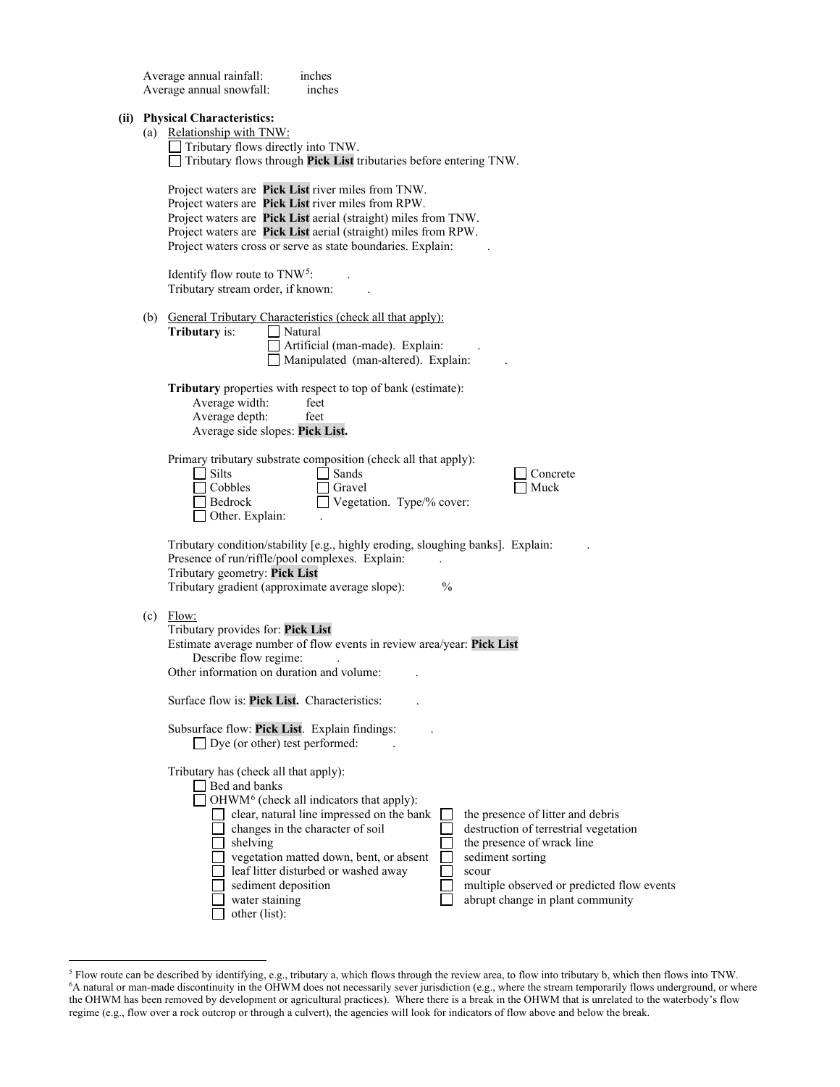|                                                                                                                                                                          | Average annual rainfall:<br>inches<br>Average annual snowfall:<br>inches                                                                                                                                                                                                                                                                                                                                                                                                                                                                                                                          |  |
|--------------------------------------------------------------------------------------------------------------------------------------------------------------------------|---------------------------------------------------------------------------------------------------------------------------------------------------------------------------------------------------------------------------------------------------------------------------------------------------------------------------------------------------------------------------------------------------------------------------------------------------------------------------------------------------------------------------------------------------------------------------------------------------|--|
| (ii) Physical Characteristics:<br>(a) Relationship with TNW:<br>Tributary flows directly into TNW.<br>Tributary flows through Pick List tributaries before entering TNW. |                                                                                                                                                                                                                                                                                                                                                                                                                                                                                                                                                                                                   |  |
|                                                                                                                                                                          | Project waters are Pick List river miles from TNW.<br>Project waters are Pick List river miles from RPW.<br>Project waters are Pick List aerial (straight) miles from TNW.<br>Project waters are Pick List aerial (straight) miles from RPW.<br>Project waters cross or serve as state boundaries. Explain:                                                                                                                                                                                                                                                                                       |  |
|                                                                                                                                                                          | Identify flow route to TNW <sup>5</sup> :<br>Tributary stream order, if known:                                                                                                                                                                                                                                                                                                                                                                                                                                                                                                                    |  |
|                                                                                                                                                                          | (b) General Tributary Characteristics (check all that apply):<br>Tributary is:<br>Natural<br>Artificial (man-made). Explain:<br>Manipulated (man-altered). Explain:                                                                                                                                                                                                                                                                                                                                                                                                                               |  |
|                                                                                                                                                                          | Tributary properties with respect to top of bank (estimate):<br>Average width:<br>feet<br>Average depth:<br>feet<br>Average side slopes: Pick List.                                                                                                                                                                                                                                                                                                                                                                                                                                               |  |
|                                                                                                                                                                          | Primary tributary substrate composition (check all that apply):<br>Silts<br>Sands<br>Concrete<br>Cobbles<br>Muck<br>Gravel<br>Vegetation. Type/% cover:<br>Bedrock<br>Other. Explain:                                                                                                                                                                                                                                                                                                                                                                                                             |  |
|                                                                                                                                                                          | Tributary condition/stability [e.g., highly eroding, sloughing banks]. Explain:<br>Presence of run/riffle/pool complexes. Explain:<br>Tributary geometry: Pick List<br>Tributary gradient (approximate average slope):<br>$\frac{0}{0}$                                                                                                                                                                                                                                                                                                                                                           |  |
|                                                                                                                                                                          | $(c)$ Flow:<br>Tributary provides for: Pick List<br>Estimate average number of flow events in review area/year: Pick List<br>Describe flow regime:<br>Other information on duration and volume:<br>Surface flow is: Pick List. Characteristics:                                                                                                                                                                                                                                                                                                                                                   |  |
|                                                                                                                                                                          | Subsurface flow: Pick List. Explain findings:<br>$\Box$ Dye (or other) test performed:                                                                                                                                                                                                                                                                                                                                                                                                                                                                                                            |  |
|                                                                                                                                                                          | Tributary has (check all that apply):<br>$\Box$ Bed and banks<br>$\Box$ OHWM <sup>6</sup> (check all indicators that apply):<br>clear, natural line impressed on the bank<br>the presence of litter and debris<br>changes in the character of soil<br>destruction of terrestrial vegetation<br>shelving<br>the presence of wrack line<br>sediment sorting<br>vegetation matted down, bent, or absent<br>leaf litter disturbed or washed away<br>scour<br>sediment deposition<br>multiple observed or predicted flow events<br>abrupt change in plant community<br>water staining<br>other (list): |  |

<span id="page-2-1"></span><span id="page-2-0"></span><sup>&</sup>lt;sup>5</sup> Flow route can be described by identifying, e.g., tributary a, which flows through the review area, to flow into tributary b, which then flows into TNW. 6 A natural or man-made discontinuity in the OHWM does not necessarily sever jurisdiction (e.g., where the stream temporarily flows underground, or where the OHWM has been removed by development or agricultural practices). Where there is a break in the OHWM that is unrelated to the waterbody's flow regime (e.g., flow over a rock outcrop or through a culvert), the agencies will look for indicators of flow above and below the break.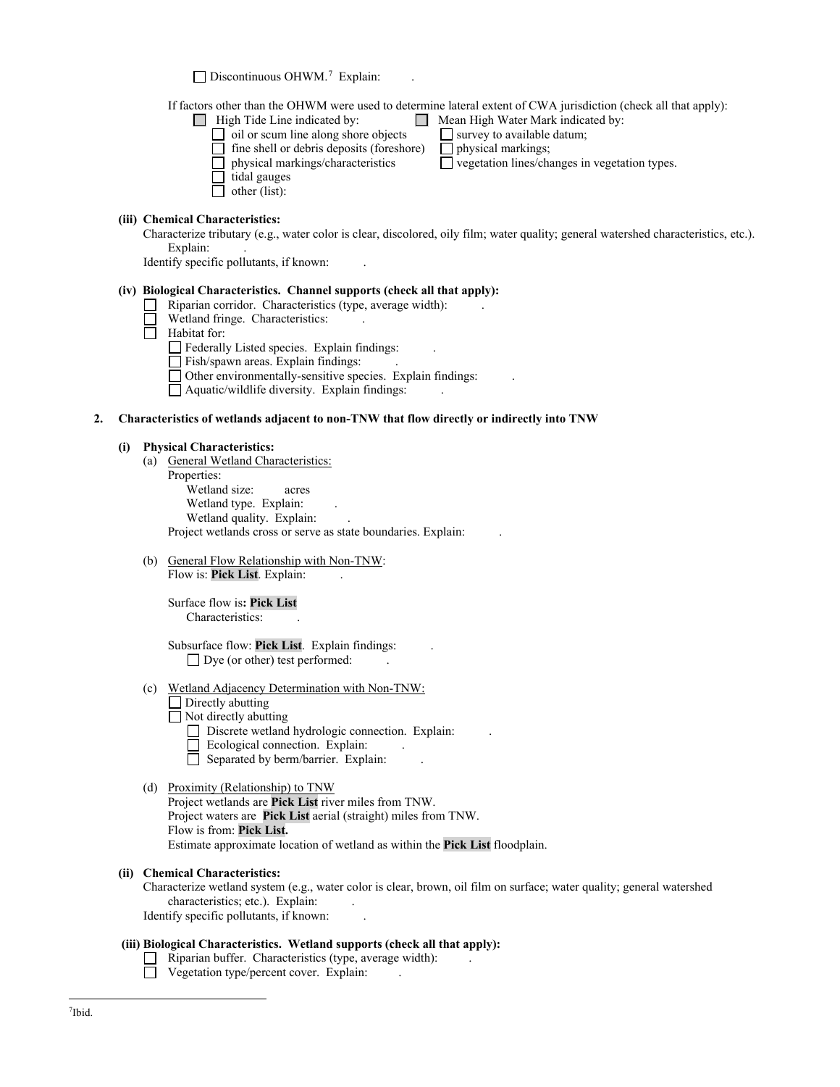$\Box$  Discontinuous OHWM.<sup>7</sup> Explain:

If factors other than the OHWM were used to determine lateral extent of CWA jurisdiction (check all that apply):

- High Tide Line indicated by: Mean High Water Mark indicated by:<br>
ail or scum line along shore objects survey to available datum;
	- oil or scum line along shore objects  $\Box$  survey to available fine shell or debris deposits (foreshore)  $\Box$  physical markings;
	- $\Box$  fine shell or debris deposits (foreshore)
	- - tidal gauges
	- $\Box$  other (list):
- 
- $\Box$  physical markings/characteristics  $\Box$  vegetation lines/changes in vegetation types.
- 
- 

## **(iii) Chemical Characteristics:**

Characterize tributary (e.g., water color is clear, discolored, oily film; water quality; general watershed characteristics, etc.). Explain:

Identify specific pollutants, if known: .

### **(iv) Biological Characteristics. Channel supports (check all that apply):**

- Riparian corridor. Characteristics (type, average width): .
- Wetland fringe. Characteristics: .
- $\Box$ Habitat for:
	- Federally Listed species. Explain findings:
	- Fish/spawn areas. Explain findings:
	- Other environmentally-sensitive species. Explain findings: .
	- $\Box$  Aquatic/wildlife diversity. Explain findings:

### **2. Characteristics of wetlands adjacent to non-TNW that flow directly or indirectly into TNW**

# **(i) Physical Characteristics:**

- (a) General Wetland Characteristics:
	- Properties: Wetland size: acres Wetland type. Explain: Wetland quality. Explain: Project wetlands cross or serve as state boundaries. Explain: .
- (b) General Flow Relationship with Non-TNW: Flow is: Pick List. Explain:

Surface flow is**: Pick List**  Characteristics: .

### Subsurface flow: **Pick List**. Explain findings: .  $\Box$  Dye (or other) test performed:

- (c) Wetland Adjacency Determination with Non-TNW:
	- $\Box$  Directly abutting
	- $\Box$  Not directly abutting
		- Discrete wetland hydrologic connection. Explain:
		- Ecological connection. Explain:
		- Separated by berm/barrier. Explain:
- (d) Proximity (Relationship) to TNW
	- Project wetlands are **Pick List** river miles from TNW. Project waters are **Pick List** aerial (straight) miles from TNW. Flow is from: **Pick List.** Estimate approximate location of wetland as within the **Pick List** floodplain.

# **(ii) Chemical Characteristics:**

Characterize wetland system (e.g., water color is clear, brown, oil film on surface; water quality; general watershed characteristics; etc.). Explain: Identify specific pollutants, if known: .

### <span id="page-3-0"></span>**(iii) Biological Characteristics. Wetland supports (check all that apply):**

- $\Box$  Riparian buffer. Characteristics (type, average width):
- $\Box$  Vegetation type/percent cover. Explain: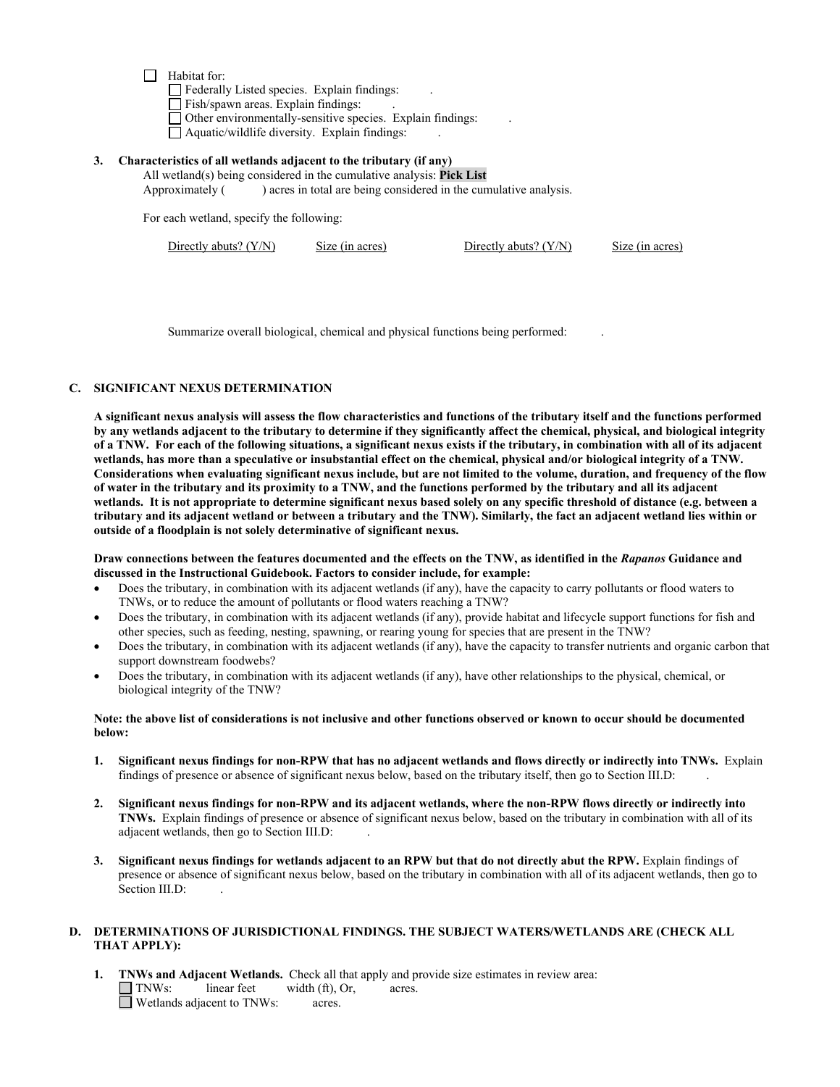Habitat for:

Federally Listed species. Explain findings: .

Fish/spawn areas. Explain findings: .

Other environmentally-sensitive species. Explain findings: .

 $\Box$  Aquatic/wildlife diversity. Explain findings:

# **3. Characteristics of all wetlands adjacent to the tributary (if any)**

All wetland(s) being considered in the cumulative analysis: **Pick List**<br>Approximately () acres in total are being considered in the cun ) acres in total are being considered in the cumulative analysis.

For each wetland, specify the following:

Directly abuts? (Y/N) Size (in acres) Directly abuts? (Y/N) Size (in acres)

Summarize overall biological, chemical and physical functions being performed: .

# **C. SIGNIFICANT NEXUS DETERMINATION**

**A significant nexus analysis will assess the flow characteristics and functions of the tributary itself and the functions performed by any wetlands adjacent to the tributary to determine if they significantly affect the chemical, physical, and biological integrity of a TNW. For each of the following situations, a significant nexus exists if the tributary, in combination with all of its adjacent wetlands, has more than a speculative or insubstantial effect on the chemical, physical and/or biological integrity of a TNW. Considerations when evaluating significant nexus include, but are not limited to the volume, duration, and frequency of the flow of water in the tributary and its proximity to a TNW, and the functions performed by the tributary and all its adjacent wetlands. It is not appropriate to determine significant nexus based solely on any specific threshold of distance (e.g. between a tributary and its adjacent wetland or between a tributary and the TNW). Similarly, the fact an adjacent wetland lies within or outside of a floodplain is not solely determinative of significant nexus.** 

**Draw connections between the features documented and the effects on the TNW, as identified in the** *Rapanos* **Guidance and discussed in the Instructional Guidebook. Factors to consider include, for example:**

- Does the tributary, in combination with its adjacent wetlands (if any), have the capacity to carry pollutants or flood waters to TNWs, or to reduce the amount of pollutants or flood waters reaching a TNW?
- Does the tributary, in combination with its adjacent wetlands (if any), provide habitat and lifecycle support functions for fish and other species, such as feeding, nesting, spawning, or rearing young for species that are present in the TNW?
- Does the tributary, in combination with its adjacent wetlands (if any), have the capacity to transfer nutrients and organic carbon that support downstream foodwebs?
- Does the tributary, in combination with its adjacent wetlands (if any), have other relationships to the physical, chemical, or biological integrity of the TNW?

### **Note: the above list of considerations is not inclusive and other functions observed or known to occur should be documented below:**

- **1. Significant nexus findings for non-RPW that has no adjacent wetlands and flows directly or indirectly into TNWs.** Explain findings of presence or absence of significant nexus below, based on the tributary itself, then go to Section III.D: .
- **2. Significant nexus findings for non-RPW and its adjacent wetlands, where the non-RPW flows directly or indirectly into TNWs.** Explain findings of presence or absence of significant nexus below, based on the tributary in combination with all of its adjacent wetlands, then go to Section III.D: .
- **3. Significant nexus findings for wetlands adjacent to an RPW but that do not directly abut the RPW.** Explain findings of presence or absence of significant nexus below, based on the tributary in combination with all of its adjacent wetlands, then go to Section III.D:

### **D. DETERMINATIONS OF JURISDICTIONAL FINDINGS. THE SUBJECT WATERS/WETLANDS ARE (CHECK ALL THAT APPLY):**

**1. INWs and Adjacent Wetlands.** Check all that apply and provide size estimates in review area:<br> **INWs:** linear feet width (ft), Or, acres.  $width (ft), Or, \tarces.$ Wetlands adjacent to TNWs: acres.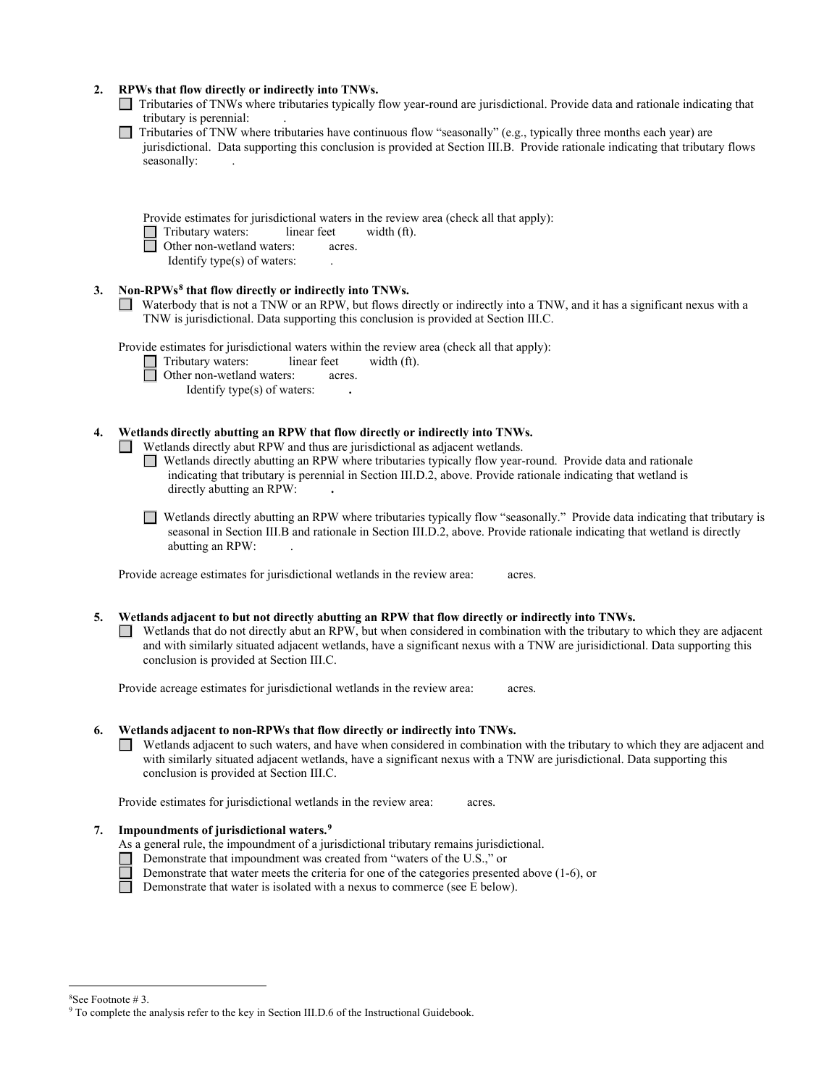| 2. | RPWs that flow directly or indirectly into TNWs.<br>Tributaries of TNWs where tributaries typically flow year-round are jurisdictional. Provide data and rationale indicating that<br>tributary is perennial:<br>Tributaries of TNW where tributaries have continuous flow "seasonally" (e.g., typically three months each year) are<br>jurisdictional. Data supporting this conclusion is provided at Section III.B. Provide rationale indicating that tributary flows<br>seasonally: |
|----|----------------------------------------------------------------------------------------------------------------------------------------------------------------------------------------------------------------------------------------------------------------------------------------------------------------------------------------------------------------------------------------------------------------------------------------------------------------------------------------|
|    | Provide estimates for jurisdictional waters in the review area (check all that apply):<br>Tributary waters:<br>linear feet<br>width (ft).<br>Other non-wetland waters:<br>acres.<br>Identify type(s) of waters:                                                                                                                                                                                                                                                                        |
| 3. | Non-RPWs <sup>8</sup> that flow directly or indirectly into TNWs.<br>Waterbody that is not a TNW or an RPW, but flows directly or indirectly into a TNW, and it has a significant nexus with a<br>TNW is jurisdictional. Data supporting this conclusion is provided at Section III.C.                                                                                                                                                                                                 |
|    | Provide estimates for jurisdictional waters within the review area (check all that apply):<br>Tributary waters:<br>linear feet<br>width (ft).<br>Other non-wetland waters:<br>acres.<br>Identify type(s) of waters:                                                                                                                                                                                                                                                                    |
| 4. | Wetlands directly abutting an RPW that flow directly or indirectly into TNWs.<br>Wetlands directly abut RPW and thus are jurisdictional as adjacent wetlands.<br>Wetlands directly abutting an RPW where tributaries typically flow year-round. Provide data and rationale<br>indicating that tributary is perennial in Section III.D.2, above. Provide rationale indicating that wetland is<br>directly abutting an RPW:                                                              |
|    | Wetlands directly abutting an RPW where tributaries typically flow "seasonally." Provide data indicating that tributary is<br>seasonal in Section III.B and rationale in Section III.D.2, above. Provide rationale indicating that wetland is directly<br>abutting an RPW:                                                                                                                                                                                                             |
|    | Provide acreage estimates for jurisdictional wetlands in the review area:<br>acres.                                                                                                                                                                                                                                                                                                                                                                                                    |
| 5. | Wetlands adjacent to but not directly abutting an RPW that flow directly or indirectly into TNWs.<br>Wetlands that do not directly abut an RPW, but when considered in combination with the tributary to which they are adjacent<br>and with similarly situated adjacent wetlands, have a significant nexus with a TNW are jurisidictional. Data supporting this<br>conclusion is provided at Section III.C.                                                                           |
|    | Provide acreage estimates for jurisdictional wetlands in the review area:<br>acres.                                                                                                                                                                                                                                                                                                                                                                                                    |
| 6. | Wetlands adjacent to non-RPWs that flow directly or indirectly into TNWs.<br>Wetlands adjacent to such waters, and have when considered in combination with the tributary to which they are adjacent and<br>with similarly situated adjacent wetlands, have a significant nexus with a TNW are jurisdictional. Data supporting this<br>conclusion is provided at Section III.C.                                                                                                        |
|    | Provide estimates for jurisdictional wetlands in the review area:<br>acres.                                                                                                                                                                                                                                                                                                                                                                                                            |
| 7. | Impoundments of jurisdictional waters. <sup>9</sup><br>As a general rule, the impoundment of a jurisdictional tributary remains jurisdictional.<br>Demonstrate that impoundment was created from "waters of the U.S.," or                                                                                                                                                                                                                                                              |

Demonstrate that water meets the criteria for one of the categories presented above (1-6), or

Demonstrate that water is isolated with a nexus to commerce (see E below).

 $8$ See Footnote #3.

<span id="page-5-1"></span><span id="page-5-0"></span><sup>&</sup>lt;sup>9</sup> To complete the analysis refer to the key in Section III.D.6 of the Instructional Guidebook.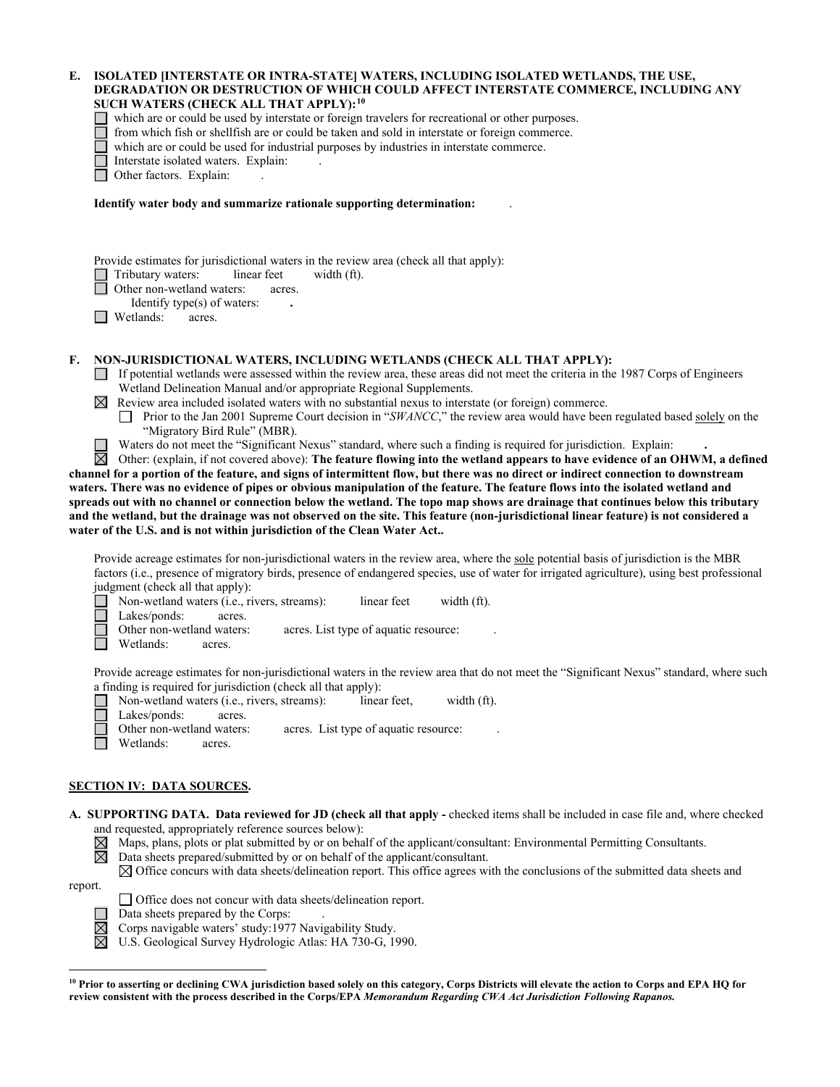### **E. ISOLATED [INTERSTATE OR INTRA-STATE] WATERS, INCLUDING ISOLATED WETLANDS, THE USE, DEGRADATION OR DESTRUCTION OF WHICH COULD AFFECT INTERSTATE COMMERCE, INCLUDING ANY SUCH WATERS (CHECK ALL THAT APPLY):[10](#page-6-0)**

which are or could be used by interstate or foreign travelers for recreational or other purposes.

from which fish or shellfish are or could be taken and sold in interstate or foreign commerce.

which are or could be used for industrial purposes by industries in interstate commerce.

Interstate isolated waters.Explain: .

□ Other factors. Explain:

### **Identify water body and summarize rationale supporting determination:** .

Provide estimates for jurisdictional waters in the review area (check all that apply):

Tributary waters: linear feet width (ft).

Other non-wetland waters: acres.

Identify type(s) of waters: **.**

**I** Wetlands: acres.

### **F. NON-JURISDICTIONAL WATERS, INCLUDING WETLANDS (CHECK ALL THAT APPLY):**

If potential wetlands were assessed within the review area, these areas did not meet the criteria in the 1987 Corps of Engineers Wetland Delineation Manual and/or appropriate Regional Supplements.

 $\boxtimes$  Review area included isolated waters with no substantial nexus to interstate (or foreign) commerce.

Prior to the Jan 2001 Supreme Court decision in "*SWANCC*," the review area would have been regulated based solely on the "Migratory Bird Rule" (MBR).

Waters do not meet the "Significant Nexus" standard, where such a finding is required for jurisdiction. Explain: **.**

Other: (explain, if not covered above): **The feature flowing into the wetland appears to have evidence of an OHWM, a defined channel for a portion of the feature, and signs of intermittent flow, but there was no direct or indirect connection to downstream waters. There was no evidence of pipes or obvious manipulation of the feature. The feature flows into the isolated wetland and spreads out with no channel or connection below the wetland. The topo map shows are drainage that continues below this tributary and the wetland, but the drainage was not observed on the site. This feature (non-jurisdictional linear feature) is not considered a water of the U.S. and is not within jurisdiction of the Clean Water Act..**

Provide acreage estimates for non-jurisdictional waters in the review area, where the sole potential basis of jurisdiction is the MBR factors (i.e., presence of migratory birds, presence of endangered species, use of water for irrigated agriculture), using best professional judgment (check all that apply):

Non-wetland waters (i.e., rivers, streams): linear feet width (ft).

Lakes/ponds: acres.

- Other non-wetland waters: acres. List type of aquatic resource:
- Wetlands: acres.

Provide acreage estimates for non-jurisdictional waters in the review area that do not meet the "Significant Nexus" standard, where such a finding is required for jurisdiction (check all that apply):

- Non-wetland waters (i.e., rivers, streams): linear feet, width (ft). Lakes/ponds: acres. Other non-wetland waters: acres. List type of aquatic resource: Wetlands: acres.
- 

# **SECTION IV: DATA SOURCES.**

- **A. SUPPORTING DATA. Data reviewed for JD (check all that apply -** checked items shall be included in case file and, where checked and requested, appropriately reference sources below):
	- $\boxtimes$ Maps, plans, plots or plat submitted by or on behalf of the applicant/consultant: Environmental Permitting Consultants.

岗 Data sheets prepared/submitted by or on behalf of the applicant/consultant.

 $\boxtimes$  Office concurs with data sheets/delineation report. This office agrees with the conclusions of the submitted data sheets and

 $\boxtimes$ 

report.

Office does not concur with data sheets/delineation report. Data sheets prepared by the Corps: .

Corps navigable waters' study:1977 Navigability Study.

U.S. Geological Survey Hydrologic Atlas: HA 730-G, 1990.

<span id="page-6-0"></span>**<sup>10</sup> Prior to asserting or declining CWA jurisdiction based solely on this category, Corps Districts will elevate the action to Corps and EPA HQ for review consistent with the process described in the Corps/EPA** *Memorandum Regarding CWA Act Jurisdiction Following Rapanos.*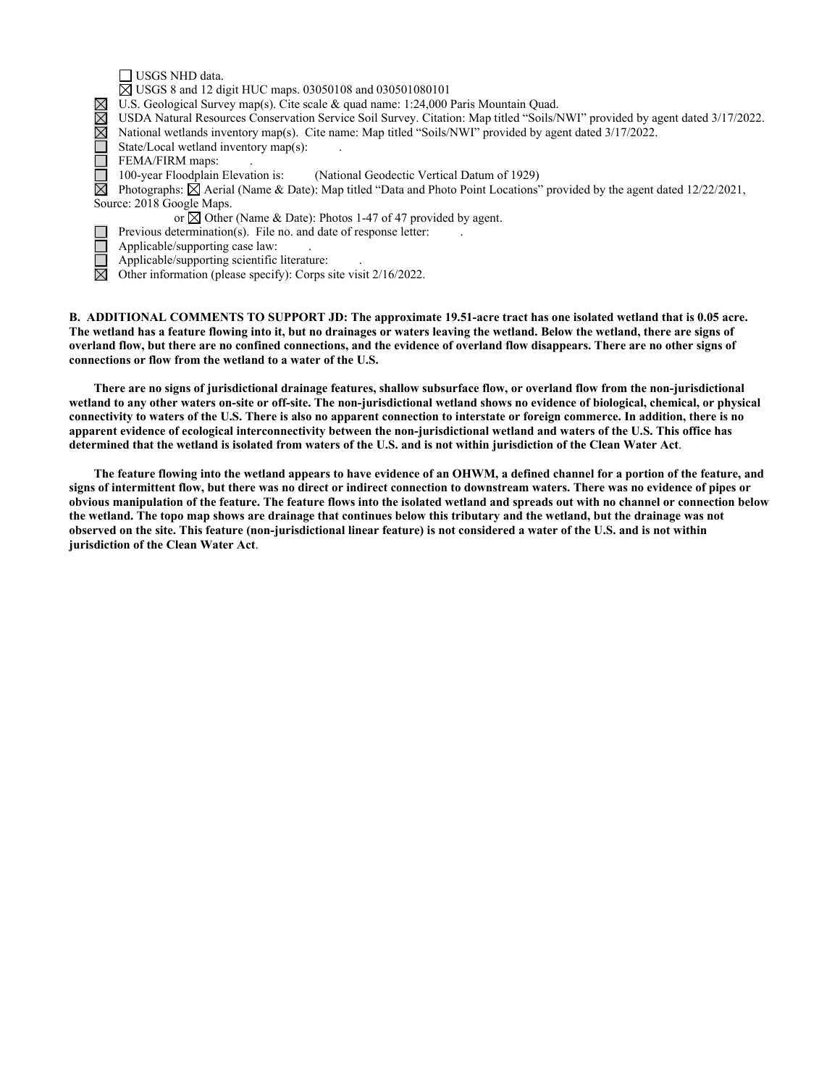| USGS NHD data.                                                                                                                                    |  |
|---------------------------------------------------------------------------------------------------------------------------------------------------|--|
| $\boxtimes$ USGS 8 and 12 digit HUC maps. 03050108 and 030501080101                                                                               |  |
| U.S. Geological Survey map(s). Cite scale & quad name: 1:24,000 Paris Mountain Quad.<br>$\boxtimes$                                               |  |
| $\boxtimes$<br>USDA Natural Resources Conservation Service Soil Survey. Citation: Map titled "Soils/NWI" provided by agent dated 3/17/2022.       |  |
| $\boxtimes$<br>National wetlands inventory map(s). Cite name: Map titled "Soils/NWI" provided by agent dated 3/17/2022.                           |  |
| State/Local wetland inventory map(s):                                                                                                             |  |
| FEMA/FIRM maps:                                                                                                                                   |  |
| 100-year Floodplain Elevation is:<br>(National Geodectic Vertical Datum of 1929)                                                                  |  |
| $\boxtimes$<br>Photographs: $\boxtimes$ Aerial (Name & Date): Map titled "Data and Photo Point Locations" provided by the agent dated 12/22/2021, |  |
| Source: 2018 Google Maps.                                                                                                                         |  |
| or $\boxtimes$ Other (Name & Date): Photos 1-47 of 47 provided by agent.                                                                          |  |
| Previous determination(s). File no. and date of response letter:                                                                                  |  |
| Applicable/supporting case law:                                                                                                                   |  |
| Applicable/supporting scientific literature:                                                                                                      |  |
| $\boxtimes$<br>Other information (please specify): Corps site visit 2/16/2022.                                                                    |  |
|                                                                                                                                                   |  |

**B. ADDITIONAL COMMENTS TO SUPPORT JD: The approximate 19.51-acre tract has one isolated wetland that is 0.05 acre. The wetland has a feature flowing into it, but no drainages or waters leaving the wetland. Below the wetland, there are signs of overland flow, but there are no confined connections, and the evidence of overland flow disappears. There are no other signs of connections or flow from the wetland to a water of the U.S.**

**There are no signs of jurisdictional drainage features, shallow subsurface flow, or overland flow from the non-jurisdictional wetland to any other waters on-site or off-site. The non-jurisdictional wetland shows no evidence of biological, chemical, or physical connectivity to waters of the U.S. There is also no apparent connection to interstate or foreign commerce. In addition, there is no apparent evidence of ecological interconnectivity between the non-jurisdictional wetland and waters of the U.S. This office has determined that the wetland is isolated from waters of the U.S. and is not within jurisdiction of the Clean Water Act**.

**The feature flowing into the wetland appears to have evidence of an OHWM, a defined channel for a portion of the feature, and signs of intermittent flow, but there was no direct or indirect connection to downstream waters. There was no evidence of pipes or obvious manipulation of the feature. The feature flows into the isolated wetland and spreads out with no channel or connection below the wetland. The topo map shows are drainage that continues below this tributary and the wetland, but the drainage was not observed on the site. This feature (non-jurisdictional linear feature) is not considered a water of the U.S. and is not within jurisdiction of the Clean Water Act**.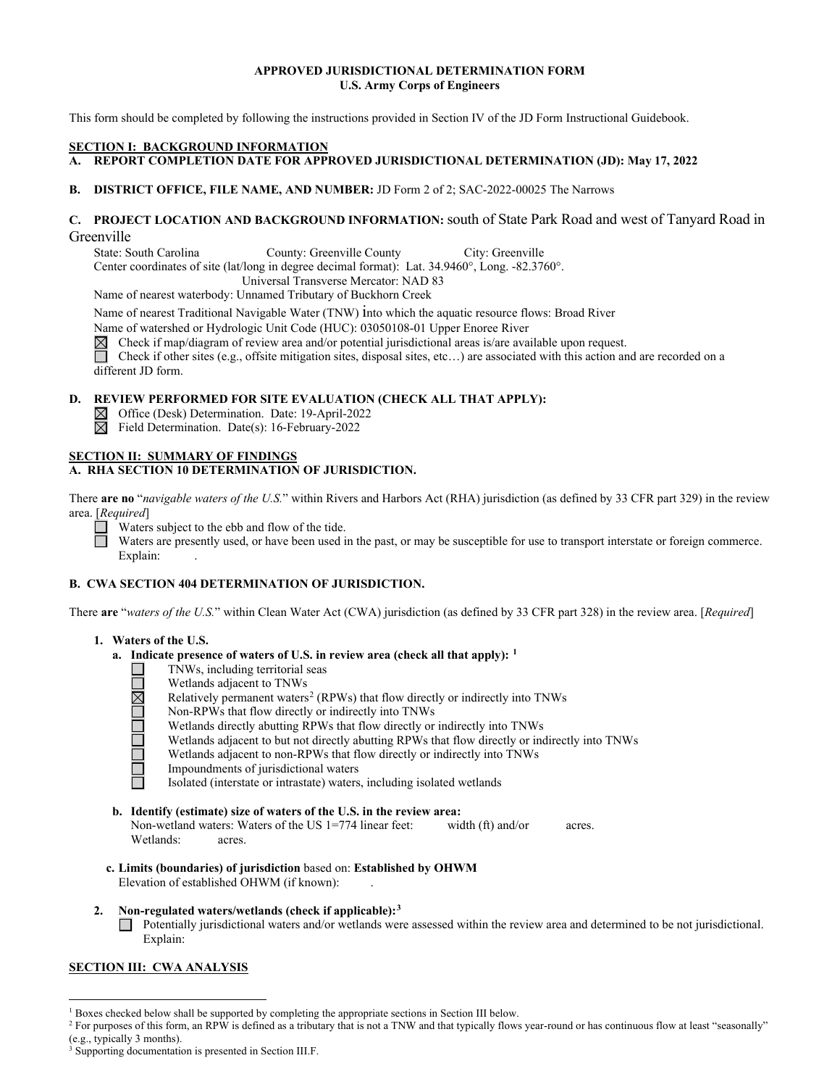# **APPROVED JURISDICTIONAL DETERMINATION FORM U.S. Army Corps of Engineers**

This form should be completed by following the instructions provided in Section IV of the JD Form Instructional Guidebook.

### **SECTION I: BACKGROUND INFORMATION**

**A. REPORT COMPLETION DATE FOR APPROVED JURISDICTIONAL DETERMINATION (JD): May 17, 2022** 

## **B. DISTRICT OFFICE, FILE NAME, AND NUMBER:** JD Form 2 of 2; SAC-2022-00025 The Narrows

# **C. PROJECT LOCATION AND BACKGROUND INFORMATION:** south of State Park Road and west of Tanyard Road in Greenville<br>State: South Carolina

County: Greenville County City: Greenville

Center coordinates of site (lat/long in degree decimal format): Lat. 34.9460°, Long. -82.3760°.

Universal Transverse Mercator: NAD 83

Name of nearest waterbody: Unnamed Tributary of Buckhorn Creek

Name of nearest Traditional Navigable Water (TNW) into which the aquatic resource flows: Broad River

Name of watershed or Hydrologic Unit Code (HUC): 03050108-01 Upper Enoree River  $\boxtimes$  Check if map/diagram of review area and/or potential jurisdictional areas is/are ava<br>Check if other sites (e.g., offsite mitigation sit

Check if map/diagram of review area and/or potential jurisdictional areas is/are available upon request.

Check if other sites (e.g., offsite mitigation sites, disposal sites, etc…) are associated with this action and are recorded on a different JD form.

# **D. REVIEW PERFORMED FOR SITE EVALUATION (CHECK ALL THAT APPLY):**

Office (Desk) Determination. Date: 19-April-2022

Field Determination. Date(s): 16-February-2022

### **SECTION II: SUMMARY OF FINDINGS A. RHA SECTION 10 DETERMINATION OF JURISDICTION.**

There **are no** "*navigable waters of the U.S.*" within Rivers and Harbors Act (RHA) jurisdiction (as defined by 33 CFR part 329) in the review area. [*Required*]

Waters subject to the ebb and flow of the tide.

 $\Box$ Waters are presently used, or have been used in the past, or may be susceptible for use to transport interstate or foreign commerce. Explain:

# **B. CWA SECTION 404 DETERMINATION OF JURISDICTION.**

There **are** "*waters of the U.S.*" within Clean Water Act (CWA) jurisdiction (as defined by 33 CFR part 328) in the review area. [*Required*]

# **1. Waters of the U.S.**

- **a. Indicate presence of waters of U.S. in review area (check all that apply): [1](#page-8-0)**
	- TNWs, including territorial seas
	-
	- Wetlands adjacent to TNWs<br>
	Relatively permanent waters<br>
	Non-RPWs that flow directly<br>
	Wetlands directly abutting R<br>
	 Wetlands adjacent to hour-RF<br>
	Wetlands adjacent to non-RF Relatively permanent waters<sup>2</sup> (RPWs) that flow directly or indirectly into TNWs
		- Non-RPWs that flow directly or indirectly into TNWs
		- Wetlands directly abutting RPWs that flow directly or indirectly into TNWs
		- Wetlands adjacent to but not directly abutting RPWs that flow directly or indirectly into TNWs
		- Wetlands adjacent to non-RPWs that flow directly or indirectly into TNWs
		- Impoundments of jurisdictional waters
			- Isolated (interstate or intrastate) waters, including isolated wetlands
- **b. Identify (estimate) size of waters of the U.S. in the review area:** Non-wetland waters: Waters of the US 1=774 linear feet: width (ft) and/or acres. Wetlands: acres.
- **c. Limits (boundaries) of jurisdiction** based on: **Established by OHWM** Elevation of established OHWM (if known):
- **2. Non-regulated waters/wetlands (check if applicable):[3](#page-8-2)** Potentially jurisdictional waters and/or wetlands were assessed within the review area and determined to be not jurisdictional. Explain:

# **SECTION III: CWA ANALYSIS**

<span id="page-8-0"></span><sup>&</sup>lt;sup>1</sup> Boxes checked below shall be supported by completing the appropriate sections in Section III below.

<span id="page-8-1"></span><sup>&</sup>lt;sup>2</sup> For purposes of this form, an RPW is defined as a tributary that is not a TNW and that typically flows year-round or has continuous flow at least "seasonally" (e.g., typically 3 months).

<span id="page-8-2"></span><sup>3</sup> Supporting documentation is presented in Section III.F.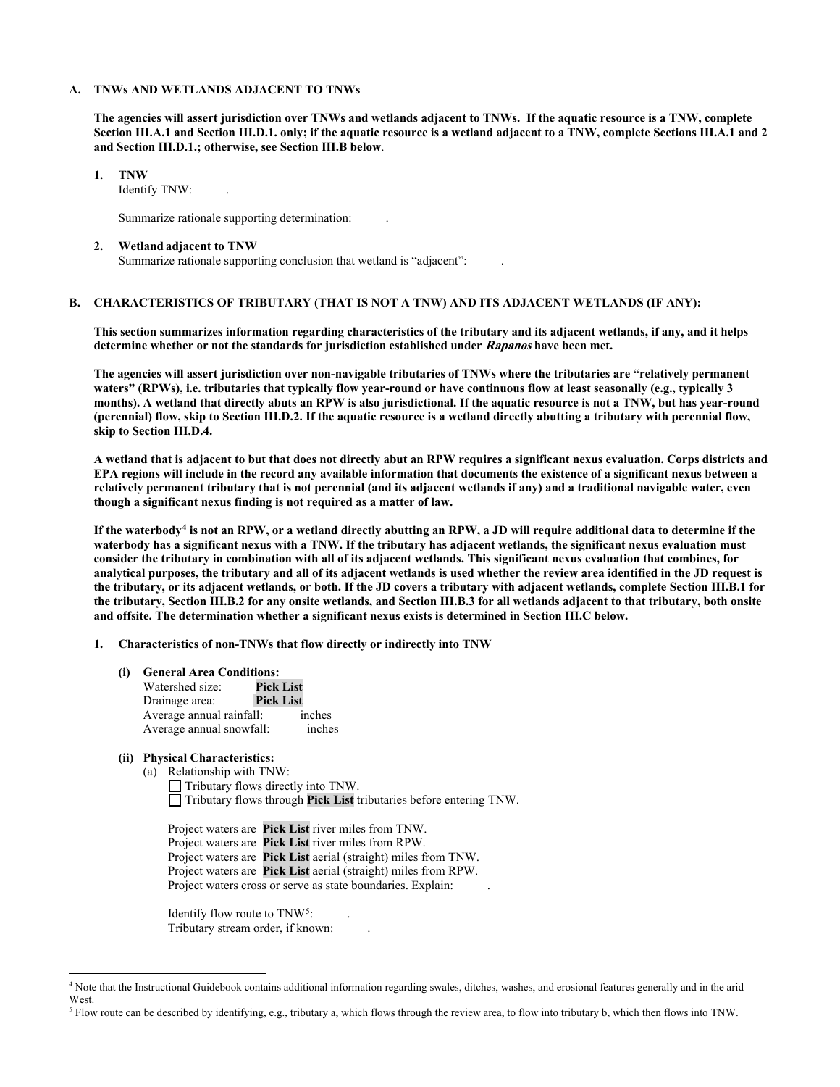### **A. TNWs AND WETLANDS ADJACENT TO TNWs**

**The agencies will assert jurisdiction over TNWs and wetlands adjacent to TNWs. If the aquatic resource is a TNW, complete Section III.A.1 and Section III.D.1. only; if the aquatic resource is a wetland adjacent to a TNW, complete Sections III.A.1 and 2 and Section III.D.1.; otherwise, see Section III.B below**.

### **1. TNW**

Identify TNW:

Summarize rationale supporting determination: .

#### **2. Wetland adjacent to TNW**

Summarize rationale supporting conclusion that wetland is "adjacent":

# **B. CHARACTERISTICS OF TRIBUTARY (THAT IS NOT A TNW) AND ITS ADJACENT WETLANDS (IF ANY):**

 **This section summarizes information regarding characteristics of the tributary and its adjacent wetlands, if any, and it helps determine whether or not the standards for jurisdiction established under Rapanos have been met.** 

 **The agencies will assert jurisdiction over non-navigable tributaries of TNWs where the tributaries are "relatively permanent waters" (RPWs), i.e. tributaries that typically flow year-round or have continuous flow at least seasonally (e.g., typically 3 months). A wetland that directly abuts an RPW is also jurisdictional. If the aquatic resource is not a TNW, but has year-round (perennial) flow, skip to Section III.D.2. If the aquatic resource is a wetland directly abutting a tributary with perennial flow, skip to Section III.D.4.** 

**A wetland that is adjacent to but that does not directly abut an RPW requires a significant nexus evaluation. Corps districts and EPA regions will include in the record any available information that documents the existence of a significant nexus between a relatively permanent tributary that is not perennial (and its adjacent wetlands if any) and a traditional navigable water, even though a significant nexus finding is not required as a matter of law.** 

**If the waterbody[4](#page-9-0) is not an RPW, or a wetland directly abutting an RPW, a JD will require additional data to determine if the waterbody has a significant nexus with a TNW. If the tributary has adjacent wetlands, the significant nexus evaluation must consider the tributary in combination with all of its adjacent wetlands. This significant nexus evaluation that combines, for analytical purposes, the tributary and all of its adjacent wetlands is used whether the review area identified in the JD request is the tributary, or its adjacent wetlands, or both. If the JD covers a tributary with adjacent wetlands, complete Section III.B.1 for the tributary, Section III.B.2 for any onsite wetlands, and Section III.B.3 for all wetlands adjacent to that tributary, both onsite and offsite. The determination whether a significant nexus exists is determined in Section III.C below.** 

#### **1. Characteristics of non-TNWs that flow directly or indirectly into TNW**

- **(i) General Area Conditions:**
	- Watershed size: **Pick List Drainage** area: Average annual rainfall: inches Average annual snowfall: inches

### **(ii) Physical Characteristics:**

(a) Relationship with TNW:

 $\Box$  Tributary flows directly into TNW. Tributary flows through **Pick List** tributaries before entering TNW.

Project waters are **Pick List** river miles from TNW. Project waters are **Pick List** river miles from RPW. Project waters are **Pick List** aerial (straight) miles from TNW. Project waters are **Pick List** aerial (straight) miles from RPW. Project waters cross or serve as state boundaries. Explain:

Identify flow route to TNW<sup>5</sup>: Tributary stream order, if known: .

<span id="page-9-0"></span><sup>4</sup> Note that the Instructional Guidebook contains additional information regarding swales, ditches, washes, and erosional features generally and in the arid West.

<span id="page-9-1"></span><sup>5</sup> Flow route can be described by identifying, e.g., tributary a, which flows through the review area, to flow into tributary b, which then flows into TNW.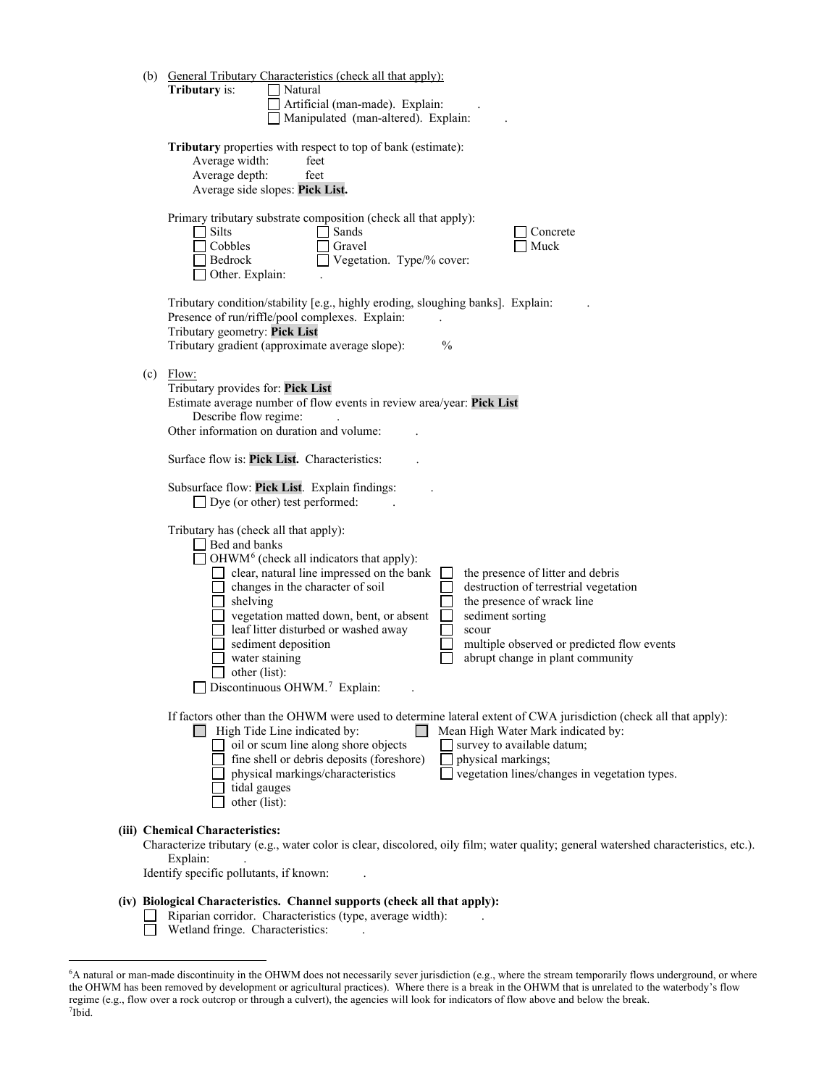| (b) General Tributary Characteristics (check all that apply):<br>Tributary is:<br>Natural<br>Artificial (man-made). Explain:<br>Manipulated (man-altered). Explain:                                                                                                                                                                                                                                                                                                                                                                                                                                                                     |
|-----------------------------------------------------------------------------------------------------------------------------------------------------------------------------------------------------------------------------------------------------------------------------------------------------------------------------------------------------------------------------------------------------------------------------------------------------------------------------------------------------------------------------------------------------------------------------------------------------------------------------------------|
| Tributary properties with respect to top of bank (estimate):<br>Average width:<br>feet<br>feet<br>Average depth:<br>Average side slopes: Pick List.                                                                                                                                                                                                                                                                                                                                                                                                                                                                                     |
| Primary tributary substrate composition (check all that apply):<br>Silts<br>Sands<br>Concrete<br>Cobbles<br>Gravel<br>Muck<br>Vegetation. Type/% cover:<br>Bedrock<br>Other. Explain:                                                                                                                                                                                                                                                                                                                                                                                                                                                   |
| Tributary condition/stability [e.g., highly eroding, sloughing banks]. Explain:<br>Presence of run/riffle/pool complexes. Explain:<br>Tributary geometry: Pick List<br>Tributary gradient (approximate average slope):<br>$\frac{0}{0}$                                                                                                                                                                                                                                                                                                                                                                                                 |
| $(c)$ Flow:<br>Tributary provides for: Pick List<br>Estimate average number of flow events in review area/year: Pick List<br>Describe flow regime:<br>Other information on duration and volume:                                                                                                                                                                                                                                                                                                                                                                                                                                         |
| Surface flow is: <b>Pick List.</b> Characteristics:                                                                                                                                                                                                                                                                                                                                                                                                                                                                                                                                                                                     |
| Subsurface flow: Pick List. Explain findings:<br>$\Box$ Dye (or other) test performed:                                                                                                                                                                                                                                                                                                                                                                                                                                                                                                                                                  |
| Tributary has (check all that apply):<br>Bed and banks<br>OHWM <sup>6</sup> (check all indicators that apply):<br>clear, natural line impressed on the bank<br>the presence of litter and debris<br>changes in the character of soil<br>destruction of terrestrial vegetation<br>shelving<br>the presence of wrack line<br>vegetation matted down, bent, or absent<br>sediment sorting<br>leaf litter disturbed or washed away<br>scour<br>multiple observed or predicted flow events<br>sediment deposition<br>abrupt change in plant community<br>water staining<br>other (list):<br>$\Box$ Discontinuous OHWM. <sup>7</sup> Explain: |
| If factors other than the OHWM were used to determine lateral extent of CWA jurisdiction (check all that apply):<br>Mean High Water Mark indicated by:<br>$\Box$ High Tide Line indicated by:<br>oil or scum line along shore objects<br>survey to available datum;<br>fine shell or debris deposits (foreshore)<br>physical markings;<br>physical markings/characteristics<br>vegetation lines/changes in vegetation types.<br>tidal gauges<br>other (list):                                                                                                                                                                           |
| (iii) Chemical Characteristics:<br>Characterize tributary (e.g., water color is clear, discolored, oily film; water quality; general watershed characteristics, etc.).<br>Explain:<br>Identify specific pollutants, if known:                                                                                                                                                                                                                                                                                                                                                                                                           |
| (iv) Biological Characteristics. Channel supports (check all that apply):<br>$\Box$ Riparian corridor. Characteristics (type, average width).                                                                                                                                                                                                                                                                                                                                                                                                                                                                                           |

□ Riparian corridor. Characteristics (type, average width): .<br>□ Wetland fringe. Characteristics: . Wetland fringe. Characteristics:

<span id="page-10-1"></span><span id="page-10-0"></span><sup>6</sup> A natural or man-made discontinuity in the OHWM does not necessarily sever jurisdiction (e.g., where the stream temporarily flows underground, or where the OHWM has been removed by development or agricultural practices). Where there is a break in the OHWM that is unrelated to the waterbody's flow regime (e.g., flow over a rock outcrop or through a culvert), the agencies will look for indicators of flow above and below the break. 7 Ibid.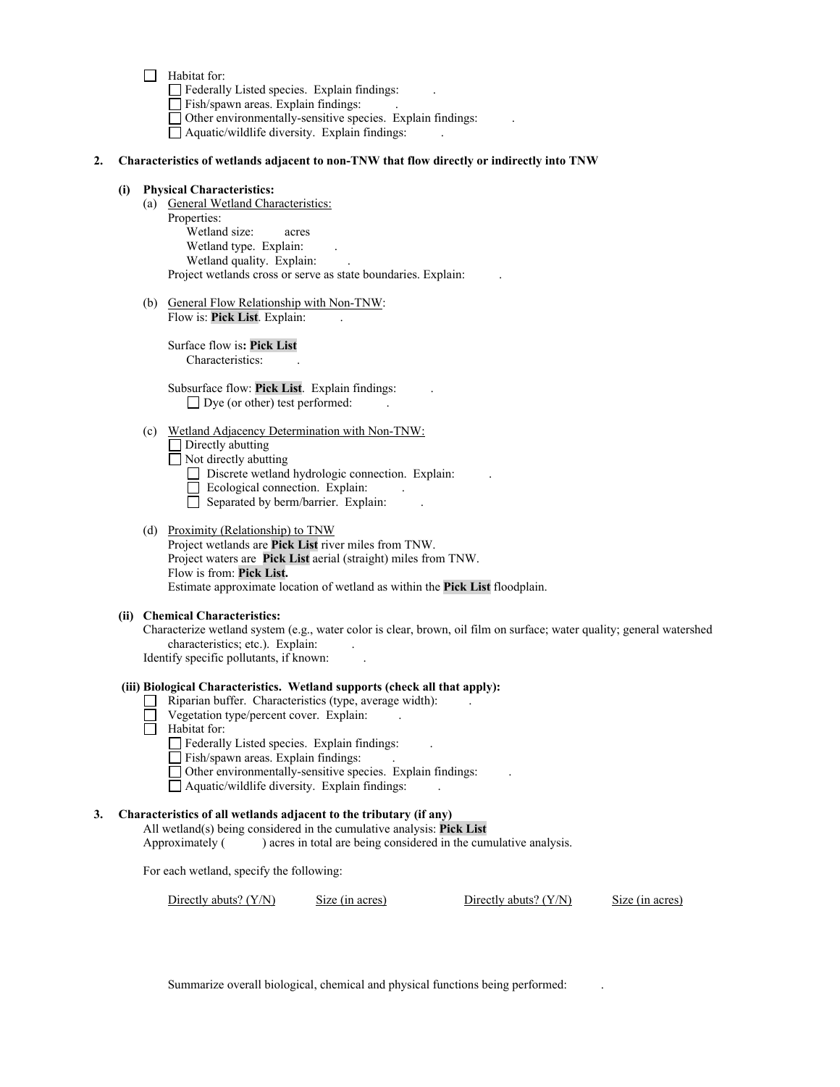Habitat for:

Federally Listed species. Explain findings: .

Fish/spawn areas. Explain findings: .

Other environmentally-sensitive species. Explain findings: .

 $\Box$  Aquatic/wildlife diversity. Explain findings:

### **2. Characteristics of wetlands adjacent to non-TNW that flow directly or indirectly into TNW**

### **(i) Physical Characteristics:**

- (a) General Wetland Characteristics: Properties: Wetland size: acres Wetland type. Explain: Wetland quality. Explain: Project wetlands cross or serve as state boundaries. Explain: .
- (b) General Flow Relationship with Non-TNW: Flow is: Pick List. Explain:

 Surface flow is**: Pick List**  Characteristics: .

 Subsurface flow: **Pick List**. Explain findings: .  $\Box$  Dye (or other) test performed:

 (c) Wetland Adjacency Determination with Non-TNW: Directly abutting

Not directly abutting

Discrete wetland hydrologic connection. Explain:

- $\Box$  Ecological connection. Explain:
- $\Box$  Separated by berm/barrier. Explain:
- (d) Proximity (Relationship) to TNW

Project wetlands are **Pick List** river miles from TNW. Project waters are **Pick List** aerial (straight) miles from TNW. Flow is from: **Pick List.** Estimate approximate location of wetland as within the **Pick List** floodplain.

#### **(ii) Chemical Characteristics:**

Characterize wetland system (e.g., water color is clear, brown, oil film on surface; water quality; general watershed characteristics; etc.). Explain: Identify specific pollutants, if known: .

 **(iii) Biological Characteristics. Wetland supports (check all that apply):**

- Riparian buffer. Characteristics (type, average width): .
- Vegetation type/percent cover. Explain: .
- $\Box$  Habitat for:

 $\Box$  Federally Listed species. Explain findings:

- $\Box$  Fish/spawn areas. Explain findings:
- $\Box$  Other environmentally-sensitive species. Explain findings:
- Aquatic/wildlife diversity. Explain findings: .

## **3. Characteristics of all wetlands adjacent to the tributary (if any)**

All wetland(s) being considered in the cumulative analysis: **Pick List** Approximately ( ) acres in total are being considered in the cumulative analysis.

For each wetland, specify the following:

Directly abuts? (Y/N) Size (in acres) Directly abuts? (Y/N) Size (in acres)

Summarize overall biological, chemical and physical functions being performed: .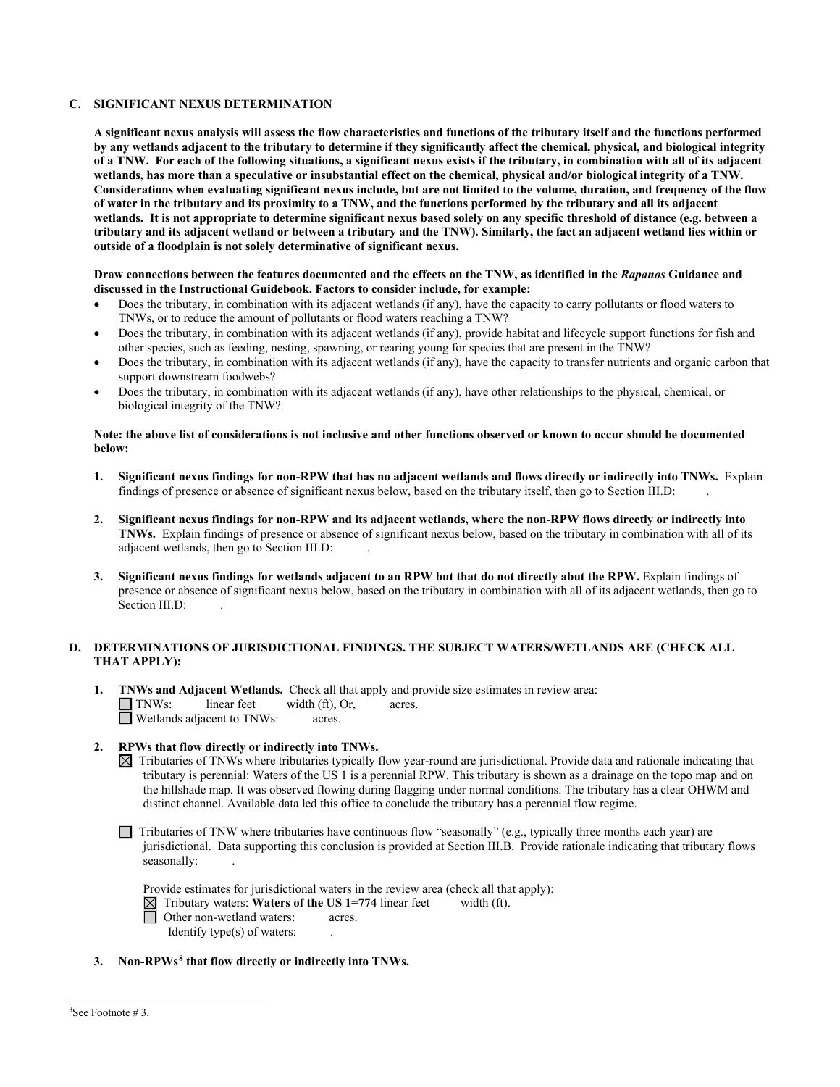### **C. SIGNIFICANT NEXUS DETERMINATION**

**A significant nexus analysis will assess the flow characteristics and functions of the tributary itself and the functions performed by any wetlands adjacent to the tributary to determine if they significantly affect the chemical, physical, and biological integrity of a TNW. For each of the following situations, a significant nexus exists if the tributary, in combination with all of its adjacent wetlands, has more than a speculative or insubstantial effect on the chemical, physical and/or biological integrity of a TNW. Considerations when evaluating significant nexus include, but are not limited to the volume, duration, and frequency of the flow of water in the tributary and its proximity to a TNW, and the functions performed by the tributary and all its adjacent wetlands. It is not appropriate to determine significant nexus based solely on any specific threshold of distance (e.g. between a tributary and its adjacent wetland or between a tributary and the TNW). Similarly, the fact an adjacent wetland lies within or outside of a floodplain is not solely determinative of significant nexus.** 

### **Draw connections between the features documented and the effects on the TNW, as identified in the** *Rapanos* **Guidance and discussed in the Instructional Guidebook. Factors to consider include, for example:**

- Does the tributary, in combination with its adjacent wetlands (if any), have the capacity to carry pollutants or flood waters to TNWs, or to reduce the amount of pollutants or flood waters reaching a TNW?
- Does the tributary, in combination with its adjacent wetlands (if any), provide habitat and lifecycle support functions for fish and other species, such as feeding, nesting, spawning, or rearing young for species that are present in the TNW?
- Does the tributary, in combination with its adjacent wetlands (if any), have the capacity to transfer nutrients and organic carbon that support downstream foodwebs?
- Does the tributary, in combination with its adjacent wetlands (if any), have other relationships to the physical, chemical, or biological integrity of the TNW?

### **Note: the above list of considerations is not inclusive and other functions observed or known to occur should be documented below:**

- **1. Significant nexus findings for non-RPW that has no adjacent wetlands and flows directly or indirectly into TNWs.** Explain findings of presence or absence of significant nexus below, based on the tributary itself, then go to Section III.D: .
- **2. Significant nexus findings for non-RPW and its adjacent wetlands, where the non-RPW flows directly or indirectly into TNWs.** Explain findings of presence or absence of significant nexus below, based on the tributary in combination with all of its adjacent wetlands, then go to Section III.D: .
- **3. Significant nexus findings for wetlands adjacent to an RPW but that do not directly abut the RPW.** Explain findings of presence or absence of significant nexus below, based on the tributary in combination with all of its adjacent wetlands, then go to Section III.D:

# **D. DETERMINATIONS OF JURISDICTIONAL FINDINGS. THE SUBJECT WATERS/WETLANDS ARE (CHECK ALL THAT APPLY):**

**1. INWs and Adjacent Wetlands.** Check all that apply and provide size estimates in review area:<br>
TNWs: linear feet width (ft), Or, acres. width (ft), Or, acres.<br>acres. □ Wetlands adjacent to TNWs:

# **2. RPWs that flow directly or indirectly into TNWs.**

 $\boxtimes$  Tributaries of TNWs where tributaries typically flow year-round are jurisdictional. Provide data and rationale indicating that tributary is perennial: Waters of the US 1 is a perennial RPW. This tributary is shown as a drainage on the topo map and on the hillshade map. It was observed flowing during flagging under normal conditions. The tributary has a clear OHWM and distinct channel. Available data led this office to conclude the tributary has a perennial flow regime.

 $\Box$  Tributaries of TNW where tributaries have continuous flow "seasonally" (e.g., typically three months each year) are jurisdictional. Data supporting this conclusion is provided at Section III.B. Provide rationale indicating that tributary flows seasonally:

Provide estimates for jurisdictional waters in the review area (check all that apply):

 $\boxtimes$  Tributary waters: **Waters of the US 1=774** linear feet width (ft).

- □ Other non-wetland waters: acres.
	- Identify type $(s)$  of waters:
- <span id="page-12-0"></span> **3. Non-RPWs[8](#page-12-0) that flow directly or indirectly into TNWs.**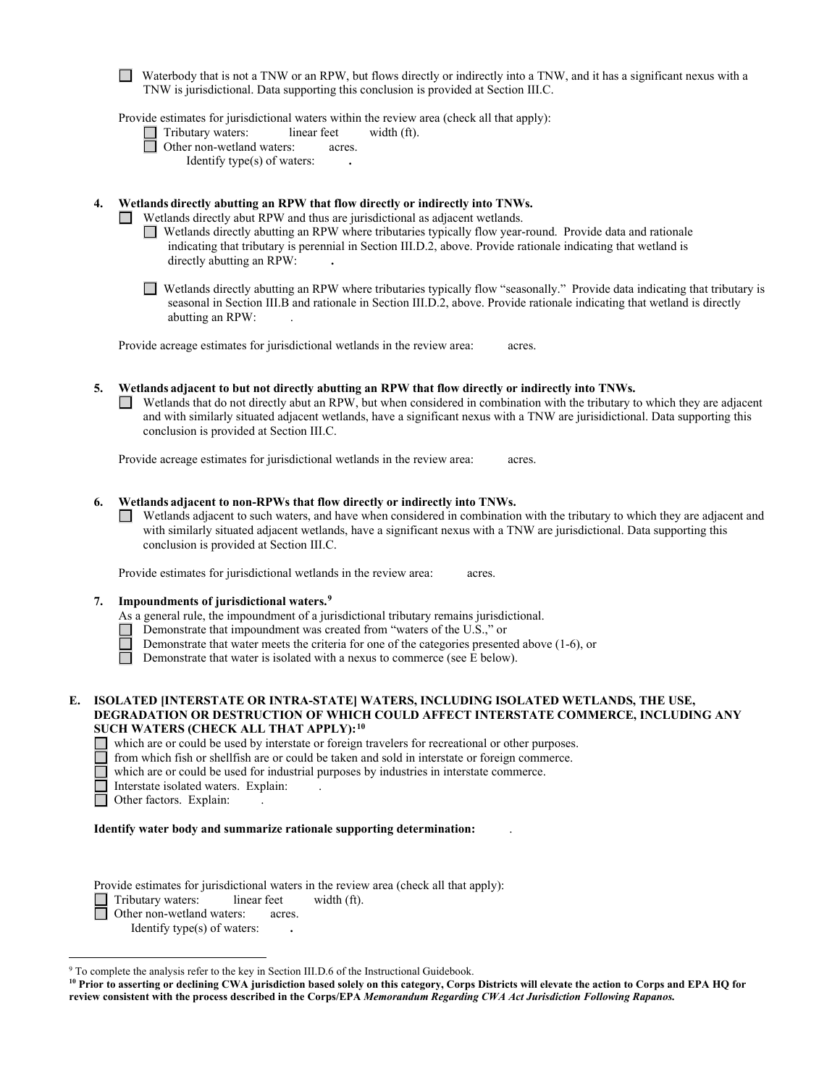Waterbody that is not a TNW or an RPW, but flows directly or indirectly into a TNW, and it has a significant nexus with a TNW is jurisdictional. Data supporting this conclusion is provided at Section III.C.

Provide estimates for jurisdictional waters within the review area (check all that apply):

Tributary waters: linear feet width (ft).<br>
Other non-wetland waters: acres.

| Other non-wetland waters:      | acres. |
|--------------------------------|--------|
| Identify type $(s)$ of waters: |        |

# **4. Wetlands directly abutting an RPW that flow directly or indirectly into TNWs.**

□ Wetlands directly abut RPW and thus are jurisdictional as adjacent wetlands.

Wetlands directly abutting an RPW where tributaries typically flow year-round. Provide data and rationale indicating that tributary is perennial in Section III.D.2, above. Provide rationale indicating that wetland is directly abutting an RPW: **.** 

Wetlands directly abutting an RPW where tributaries typically flow "seasonally." Provide data indicating that tributary is seasonal in Section III.B and rationale in Section III.D.2, above. Provide rationale indicating that wetland is directly abutting an RPW: .

Provide acreage estimates for jurisdictional wetlands in the review area:acres.

**5. Wetlands adjacent to but not directly abutting an RPW that flow directly or indirectly into TNWs.**   $\Box$  Wetlands that do not directly abut an RPW, but when considered in combination with the tributary to which they are adjacent and with similarly situated adjacent wetlands, have a significant nexus with a TNW are jurisidictional. Data supporting this conclusion is provided at Section III.C.

Provide acreage estimates for jurisdictional wetlands in the review area:acres.

### **6. Wetlands adjacent to non-RPWs that flow directly or indirectly into TNWs.**

Wetlands adjacent to such waters, and have when considered in combination with the tributary to which they are adjacent and with similarly situated adjacent wetlands, have a significant nexus with a TNW are jurisdictional. Data supporting this conclusion is provided at Section III.C.

Provide estimates for jurisdictional wetlands in the review area:acres.

### **7. Impoundments of jurisdictional waters. [9](#page-13-0)**

As a general rule, the impoundment of a jurisdictional tributary remains jurisdictional.

- Demonstrate that impoundment was created from "waters of the U.S.," or
- Demonstrate that water meets the criteria for one of the categories presented above (1-6), or Demonstrate that water is isolated with a nexus to commerce (see E below).
	- Demonstrate that water is isolated with a nexus to commerce (see E below).

### **E. ISOLATED [INTERSTATE OR INTRA-STATE] WATERS, INCLUDING ISOLATED WETLANDS, THE USE, DEGRADATION OR DESTRUCTION OF WHICH COULD AFFECT INTERSTATE COMMERCE, INCLUDING ANY SUCH WATERS (CHECK ALL THAT APPLY):[10](#page-13-1)**

which are or could be used by interstate or foreign travelers for recreational or other purposes.

from which fish or shellfish are or could be taken and sold in interstate or foreign commerce.

which are or could be used for industrial purposes by industries in interstate commerce.

- Interstate isolated waters.Explain: .
- Other factors. Explain:

П

#### **Identify water body and summarize rationale supporting determination:** .

Provide estimates for jurisdictional waters in the review area (check all that apply):

Tributary waters: linear feet width (ft).

Other non-wetland waters: acres.

Identify type(s) of waters: **.** 

<span id="page-13-0"></span><sup>9</sup> To complete the analysis refer to the key in Section III.D.6 of the Instructional Guidebook.

<span id="page-13-1"></span>**<sup>10</sup> Prior to asserting or declining CWA jurisdiction based solely on this category, Corps Districts will elevate the action to Corps and EPA HQ for review consistent with the process described in the Corps/EPA** *Memorandum Regarding CWA Act Jurisdiction Following Rapanos.*